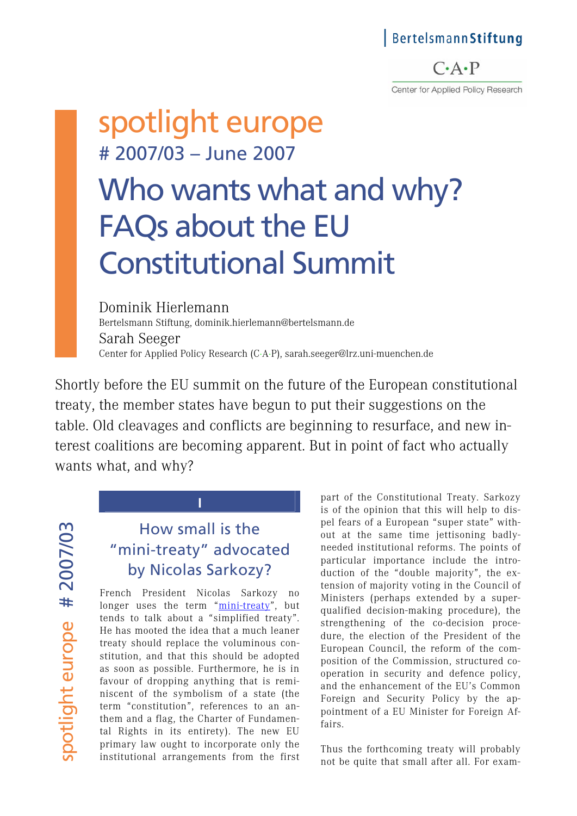### BertelsmannStiftung

 $C \cdot A \cdot P$ Center for Applied Policy Research

# spotlight europe # 2007/03 – June 2007

# Who wants what and why? FAQs about the EU Constitutional Summit

Dominik Hierlemann Bertelsmann Stiftung, dominik.hierlemann@bertelsmann.de Sarah Seeger Center for Applied Policy Research (C·A·P), sarah.seeger@lrz.uni-muenchen.de

Shortly before the EU summit on the future of the European constitutional treaty, the member states have begun to put their suggestions on the table. Old cleavages and conflicts are beginning to resurface, and new interest coalitions are becoming apparent. But in point of fact who actually wants what, and why?

spotlight europe # 2007/03 spotlight europe # 2007/03

# How small is the "mini-treaty" advocated by Nicolas Sarkozy?

**I** 

French President Nicolas Sarkozy no longer uses the term "[mini-treaty"](http://www.u-m-p.org/site/index.php/ump/s_informer/discours/fondation_friends_of_europe_amis_de_l_europe_et_la_fondation_robert_schuman_8_septembre_2006_bruxelles_bibliotheque_solvay), but tends to talk about a "simplified treaty". He has mooted the idea that a much leaner treaty should replace the voluminous constitution, and that this should be adopted as soon as possible. Furthermore, he is in favour of dropping anything that is reminiscent of the symbolism of a state (the term "constitution", references to an anthem and a flag, the Charter of Fundamental Rights in its entirety). The new EU primary law ought to incorporate only the institutional arrangements from the first

part of the Constitutional Treaty. Sarkozy is of the opinion that this will help to dispel fears of a European "super state" without at the same time jettisoning badlyneeded institutional reforms. The points of particular importance include the introduction of the "double majority", the extension of majority voting in the Council of Ministers (perhaps extended by a superqualified decision-making procedure), the strengthening of the co-decision procedure, the election of the President of the European Council, the reform of the composition of the Commission, structured cooperation in security and defence policy, and the enhancement of the EU's Common Foreign and Security Policy by the appointment of a EU Minister for Foreign Affairs.

Thus the forthcoming treaty will probably not be quite that small after all. For exam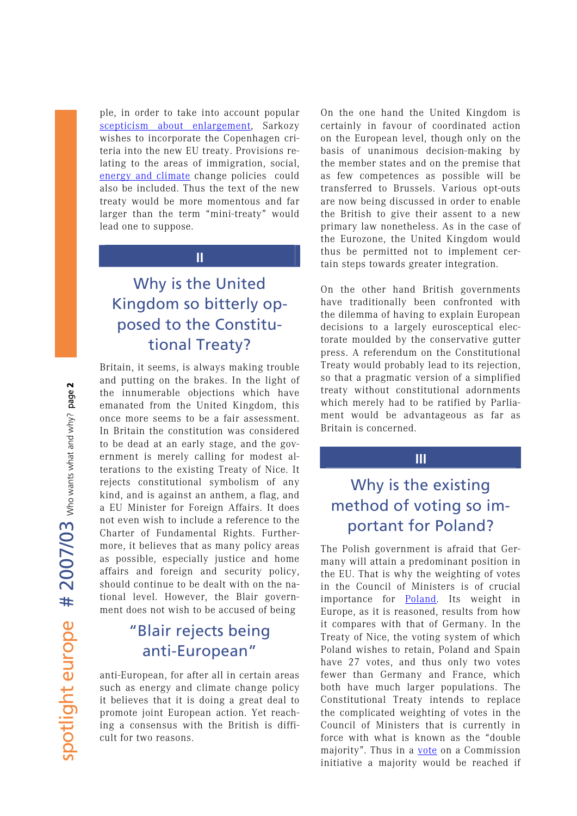ple, in order to take into account popular [scepticism about enlargement,](http://ec.europa.eu/public_opinion/archives/eb/eb66/eb66_highlights_de.pdf) Sarkozy wishes to incorporate the Copenhagen criteria into the new EU treaty. Provisions relating to the areas of immigration, social, [energy and climate](http://www.bertelsmann-stiftung.de/bst/de/media/xcms_bst_dms_21446_21447_2.pdf) change policies could also be included. Thus the text of the new treaty would be more momentous and far larger than the term "mini-treaty" would lead one to suppose.

#### **II**

# Why is the United Kingdom so bitterly opposed to the Constitutional Treaty?

Britain, it seems, is always making trouble and putting on the brakes. In the light of the innumerable objections which have emanated from the United Kingdom, this once more seems to be a fair assessment. In Britain the constitution was considered to be dead at an early stage, and the government is merely calling for modest alterations to the existing Treaty of Nice. It rejects constitutional symbolism of any kind, and is against an anthem, a flag, and a EU Minister for Foreign Affairs. It does not even wish to include a reference to the Charter of Fundamental Rights. Furthermore, it believes that as many policy areas as possible, especially justice and home affairs and foreign and security policy, should continue to be dealt with on the national level. However, the Blair government does not wish to be accused of being

### "Blair rejects being anti-European"

anti-European, for after all in certain areas such as energy and climate change policy it believes that it is doing a great deal to promote joint European action. Yet reaching a consensus with the British is difficult for two reasons.

On the one hand the United Kingdom is certainly in favour of coordinated action on the European level, though only on the basis of unanimous decision-making by the member states and on the premise that as few competences as possible will be transferred to Brussels. Various opt-outs are now being discussed in order to enable the British to give their assent to a new primary law nonetheless. As in the case of the Eurozone, the United Kingdom would thus be permitted not to implement certain steps towards greater integration.

On the other hand British governments have traditionally been confronted with the dilemma of having to explain European decisions to a largely eurosceptical electorate moulded by the conservative gutter press. A referendum on the Constitutional Treaty would probably lead to its rejection, so that a pragmatic version of a simplified treaty without constitutional adornments which merely had to be ratified by Parliament would be advantageous as far as Britain is concerned.

#### **III**

### Why is the existing method of voting so important for Poland?

The Polish government is afraid that Germany will attain a predominant position in the EU. That is why the weighting of votes in the Council of Ministers is of crucial importance for [Poland.](http://www.bertelsmann-stiftung.de/cps/rde/xchg/SID-0A000F14-62071C92/bst/hs.xsl/nachrichten_52897.htm) Its weight in Europe, as it is reasoned, results from how it compares with that of Germany. In the Treaty of Nice, the voting system of which Poland wishes to retain, Poland and Spain have 27 votes, and thus only two votes fewer than Germany and France, which both have much larger populations. The Constitutional Treaty intends to replace the complicated weighting of votes in the Council of Ministers that is currently in force with what is known as the "double majority". Thus in a [vote](http://www.cap.uni-muenchen.de/download/spotlight/Reformspotlight_03-04_d.pdf) on a Commission initiative a majority would be reached if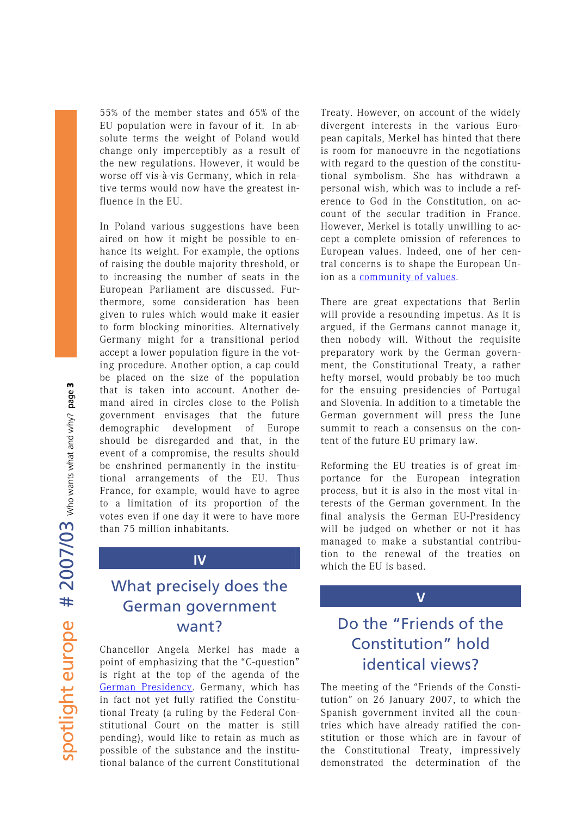55% of the member states and 65% of the EU population were in favour of it. In absolute terms the weight of Poland would change only imperceptibly as a result of the new regulations. However, it would be worse off vis-à-vis Germany, which in relative terms would now have the greatest influence in the EU.

In Poland various suggestions have been aired on how it might be possible to enhance its weight. For example, the options of raising the double majority threshold, or to increasing the number of seats in the European Parliament are discussed. Furthermore, some consideration has been given to rules which would make it easier to form blocking minorities. Alternatively Germany might for a transitional period accept a lower population figure in the voting procedure. Another option, a cap could be placed on the size of the population that is taken into account. Another demand aired in circles close to the Polish government envisages that the future demographic development of Europe should be disregarded and that, in the event of a compromise, the results should be enshrined permanently in the institutional arrangements of the EU. Thus France, for example, would have to agree to a limitation of its proportion of the votes even if one day it were to have more than 75 million inhabitants.

### **IV**

### What precisely does the German government want?

Chancellor Angela Merkel has made a point of emphasizing that the "C-question" is right at the top of the agenda of the [German Presidency.](http://www.eu2007.de/includes/Downloads/Praesidentschaftsprogramm/EU-P-AProgr-d-2911.pdf) Germany, which has in fact not yet fully ratified the Constitutional Treaty (a ruling by the Federal Constitutional Court on the matter is still pending), would like to retain as much as possible of the substance and the institutional balance of the current Constitutional Treaty. However, on account of the widely divergent interests in the various European capitals, Merkel has hinted that there is room for manoeuvre in the negotiations with regard to the question of the constitutional symbolism. She has withdrawn a personal wish, which was to include a reference to God in the Constitution, on account of the secular tradition in France. However, Merkel is totally unwilling to accept a complete omission of references to European values. Indeed, one of her central concerns is to shape the European Union as a [community of values.](http://www.cap.lmu.de/download/2007/CAP-Aktuell-2007-06.pdf)

There are great expectations that Berlin will provide a resounding impetus. As it is argued, if the Germans cannot manage it, then nobody will. Without the requisite preparatory work by the German government, the Constitutional Treaty, a rather hefty morsel, would probably be too much for the ensuing presidencies of Portugal and Slovenia. In addition to a timetable the German government will press the June summit to reach a consensus on the content of the future EU primary law.

Reforming the EU treaties is of great importance for the European integration process, but it is also in the most vital interests of the German government. In the final analysis the German EU-Presidency will be judged on whether or not it has managed to make a substantial contribution to the renewal of the treaties on which the EU is based.

**V** 

# Do the "Friends of the Constitution" hold identical views?

The meeting of the "Friends of the Constitution" on 26 January 2007, to which the Spanish government invited all the countries which have already ratified the constitution or those which are in favour of the Constitutional Treaty, impressively demonstrated the determination of the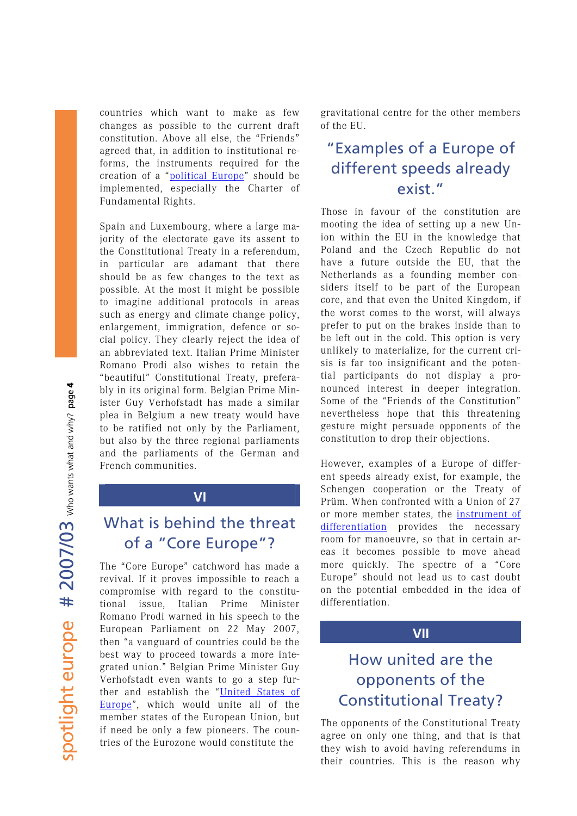countries which want to make as few changes as possible to the current draft constitution. Above all else, the "Friends" agreed that, in addition to institutional reforms, the instruments required for the creation of a "[political Europe](http://www.cap.lmu.de/download/2006/CAP-Analyse-2006-01.pdf)" should be implemented, especially the Charter of Fundamental Rights.

Spain and Luxembourg, where a large majority of the electorate gave its assent to the Constitutional Treaty in a referendum, in particular are adamant that there should be as few changes to the text as possible. At the most it might be possible to imagine additional protocols in areas such as energy and climate change policy, enlargement, immigration, defence or social policy. They clearly reject the idea of an abbreviated text. Italian Prime Minister Romano Prodi also wishes to retain the "beautiful" Constitutional Treaty, preferably in its original form. Belgian Prime Minister Guy Verhofstadt has made a similar plea in Belgium a new treaty would have to be ratified not only by the Parliament, but also by the three regional parliaments and the parliaments of the German and French communities.

### **VI**

### What is behind the threat of a "Core Europe"?

The "Core Europe" catchword has made a revival. If it proves impossible to reach a compromise with regard to the constitutional issue, Italian Prime Minister Romano Prodi warned in his speech to the European Parliament on 22 May 2007, then "a vanguard of countries could be the best way to proceed towards a more integrated union." Belgian Prime Minister Guy Verhofstadt even wants to go a step further and establish the "[United States of](http://www.vorwaerts.de/magazin/drucken.php?artikel=2931&type=)  [Europe](http://www.vorwaerts.de/magazin/drucken.php?artikel=2931&type=)", which would unite all of the member states of the European Union, but if need be only a few pioneers. The countries of the Eurozone would constitute the

gravitational centre for the other members of the EU.

### "Examples of a Europe of different speeds already exist."

Those in favour of the constitution are mooting the idea of setting up a new Union within the EU in the knowledge that Poland and the Czech Republic do not have a future outside the EU, that the Netherlands as a founding member considers itself to be part of the European core, and that even the United Kingdom, if the worst comes to the worst, will always prefer to put on the brakes inside than to be left out in the cold. This option is very unlikely to materialize, for the current crisis is far too insignificant and the potential participants do not display a pronounced interest in deeper integration. Some of the "Friends of the Constitution" nevertheless hope that this threatening gesture might persuade opponents of the constitution to drop their objections.

However, examples of a Europe of different speeds already exist, for example, the Schengen cooperation or the Treaty of Prüm. When confronted with a Union of 27 or more member states, the [instrument of](http://www.cap.lmu.de/download/2007/2007_differentiated_integration.pdf)  [differentiation](http://www.cap.lmu.de/download/2007/2007_differentiated_integration.pdf) provides the necessary room for manoeuvre, so that in certain areas it becomes possible to move ahead more quickly. The spectre of a "Core Europe" should not lead us to cast doubt on the potential embedded in the idea of differentiation.

### **VII**

# How united are the opponents of the Constitutional Treaty?

The opponents of the Constitutional Treaty agree on only one thing, and that is that they wish to avoid having referendums in their countries. This is the reason why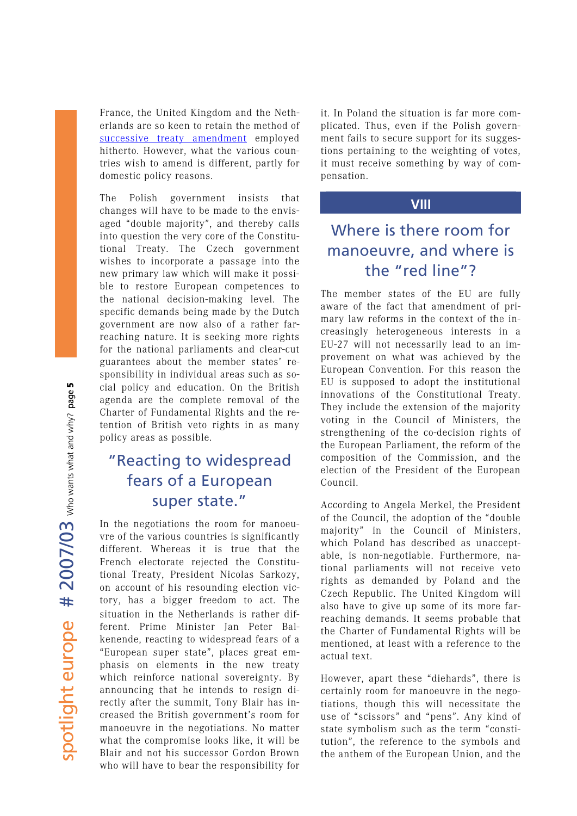France, the United Kingdom and the Netherlands are so keen to retain the method of [successive treaty amendment](http://www.cap.lmu.de/download/2007/CAP-Analyse-2007-03.pdf) employed hitherto. However, what the various countries wish to amend is different, partly for domestic policy reasons.

The Polish government insists that changes will have to be made to the envisaged "double majority", and thereby calls into question the very core of the Constitutional Treaty. The Czech government wishes to incorporate a passage into the new primary law which will make it possible to restore European competences to the national decision-making level. The specific demands being made by the Dutch government are now also of a rather farreaching nature. It is seeking more rights for the national parliaments and clear-cut guarantees about the member states' responsibility in individual areas such as social policy and education. On the British agenda are the complete removal of the Charter of Fundamental Rights and the retention of British veto rights in as many policy areas as possible.

### "Reacting to widespread fears of a European super state."

In the negotiations the room for manoeuvre of the various countries is significantly different. Whereas it is true that the French electorate rejected the Constitutional Treaty, President Nicolas Sarkozy, on account of his resounding election victory, has a bigger freedom to act. The situation in the Netherlands is rather different. Prime Minister Jan Peter Balkenende, reacting to widespread fears of a "European super state", places great emphasis on elements in the new treaty which reinforce national sovereignty. By announcing that he intends to resign directly after the summit, Tony Blair has increased the British government's room for manoeuvre in the negotiations. No matter what the compromise looks like, it will be Blair and not his successor Gordon Brown who will have to bear the responsibility for it. In Poland the situation is far more complicated. Thus, even if the Polish government fails to secure support for its suggestions pertaining to the weighting of votes, it must receive something by way of compensation.

### **VIII**

### Where is there room for manoeuvre, and where is the "red line"?

The member states of the EU are fully aware of the fact that amendment of primary law reforms in the context of the increasingly heterogeneous interests in a EU-27 will not necessarily lead to an improvement on what was achieved by the European Convention. For this reason the EU is supposed to adopt the institutional innovations of the Constitutional Treaty. They include the extension of the majority voting in the Council of Ministers, the strengthening of the co-decision rights of the European Parliament, the reform of the composition of the Commission, and the election of the President of the European Council.

According to Angela Merkel, the President of the Council, the adoption of the "double majority" in the Council of Ministers, which Poland has described as unacceptable, is non-negotiable. Furthermore, national parliaments will not receive veto rights as demanded by Poland and the Czech Republic. The United Kingdom will also have to give up some of its more farreaching demands. It seems probable that the Charter of Fundamental Rights will be mentioned, at least with a reference to the actual text.

However, apart these "diehards", there is certainly room for manoeuvre in the negotiations, though this will necessitate the use of "scissors" and "pens". Any kind of state symbolism such as the term "constitution", the reference to the symbols and the anthem of the European Union, and the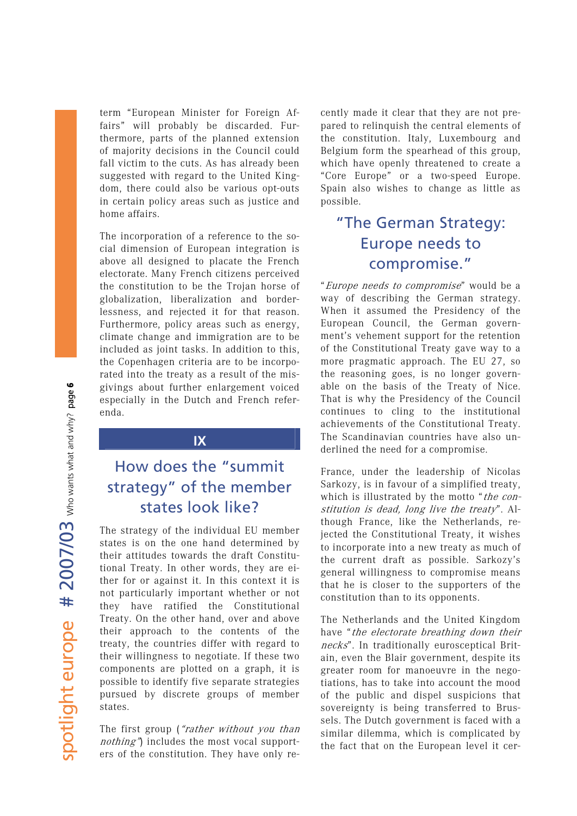term "European Minister for Foreign Affairs" will probably be discarded. Furthermore, parts of the planned extension of majority decisions in the Council could fall victim to the cuts. As has already been suggested with regard to the United Kingdom, there could also be various opt-outs in certain policy areas such as justice and home affairs.

The incorporation of a reference to the social dimension of European integration is above all designed to placate the French electorate. Many French citizens perceived the constitution to be the Trojan horse of globalization, liberalization and borderlessness, and rejected it for that reason. Furthermore, policy areas such as energy, climate change and immigration are to be included as joint tasks. In addition to this, the Copenhagen criteria are to be incorporated into the treaty as a result of the misgivings about further enlargement voiced especially in the Dutch and French referenda.

### **IX**

# How does the "summit strategy" of the member states look like?

The strategy of the individual EU member states is on the one hand determined by their attitudes towards the draft Constitutional Treaty. In other words, they are either for or against it. In this context it is not particularly important whether or not they have ratified the Constitutional Treaty. On the other hand, over and above their approach to the contents of the treaty, the countries differ with regard to their willingness to negotiate. If these two components are plotted on a graph, it is possible to identify five separate strategies pursued by discrete groups of member states.

The first group ("rather without you than nothing") includes the most vocal supporters of the constitution. They have only recently made it clear that they are not prepared to relinquish the central elements of the constitution. Italy, Luxembourg and Belgium form the spearhead of this group, which have openly threatened to create a "Core Europe" or a two-speed Europe. Spain also wishes to change as little as possible.

# "The German Strategy: Europe needs to compromise."

"Europe needs to compromise" would be a way of describing the German strategy. When it assumed the Presidency of the European Council, the German government's vehement support for the retention of the Constitutional Treaty gave way to a more pragmatic approach. The EU 27, so the reasoning goes, is no longer governable on the basis of the Treaty of Nice. That is why the Presidency of the Council continues to cling to the institutional achievements of the Constitutional Treaty. The Scandinavian countries have also underlined the need for a compromise.

France, under the leadership of Nicolas Sarkozy, is in favour of a simplified treaty, which is illustrated by the motto "the constitution is dead, long live the treaty". Although France, like the Netherlands, rejected the Constitutional Treaty, it wishes to incorporate into a new treaty as much of the current draft as possible. Sarkozy's general willingness to compromise means that he is closer to the supporters of the constitution than to its opponents.

The Netherlands and the United Kingdom have "the electorate breathing down their necks". In traditionally eurosceptical Britain, even the Blair government, despite its greater room for manoeuvre in the negotiations, has to take into account the mood of the public and dispel suspicions that sovereignty is being transferred to Brussels. The Dutch government is faced with a similar dilemma, which is complicated by the fact that on the European level it cer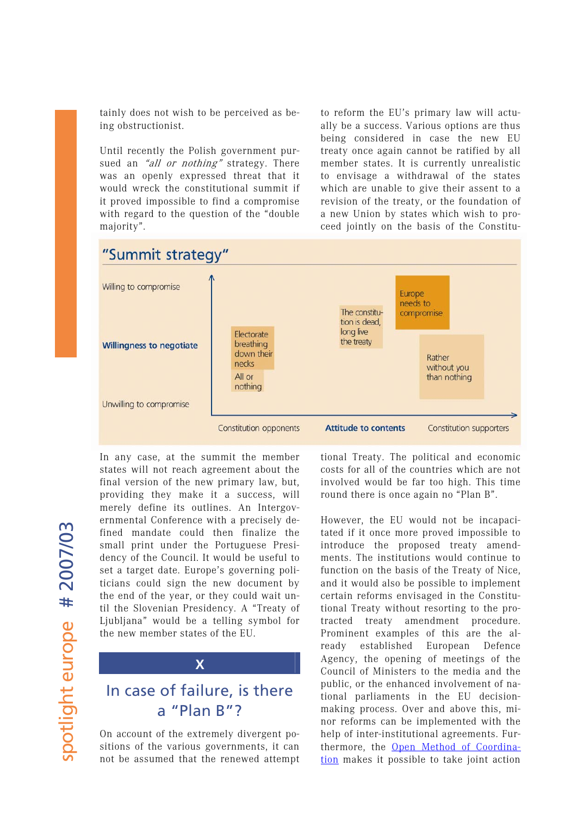tainly does not wish to be perceived as being obstructionist.

Until recently the Polish government pursued an "all or nothing" strategy. There was an openly expressed threat that it would wreck the constitutional summit if it proved impossible to find a compromise with regard to the question of the "double majority".

ceed jointly on the basis of the Constituto reform the EU's primary law will actually be a success. Various options are thus being considered in case the new EU treaty once again cannot be ratified by all member states. It is currently unrealistic to envisage a withdrawal of the states which are unable to give their assent to a revision of the treaty, or the foundation of a new Union by states which wish to pro-



spotlight europe # 2007/03 spotlight europe # 2007/03 In any cas e, at the summit the member states will not reach agreement about the final version of the new primary law, but, providing they make it a success, will merely define its outlines. An Intergovernmental Conference with a precisely defined mandate could then finalize the small print under the Portuguese Presidency of the Council. It would be useful to set a target date. Europe's governing politicians could sign the new document by the end of the year, or they could wait until the Slovenian Presidency. A "Treaty of Ljubljana" would be a telling symbol for the new member states of the EU.



# In case of failure, is there a "Plan B"?

On account of the extremely divergent positions of the various governments, it can not be assumed that the renewed attempt tional Treaty. The political and economic costs for all of the countries which are not involved would be far too high. This time round there is once again no "Plan B".

However, the EU would not be incapacitated if it once more proved impossible to introduce the proposed treaty amendments. The institutions would continue to function on the basis of the Treaty of Nice, and it would also be possible to implement certain reforms envisaged in the Constitutional Treaty without resorting to the protracted treaty amendment procedure. Prominent examples of this are the already established European Defence Agency, the opening of meetings of the Council of Ministers to the media and the public, or the enhanced involvement of national parliaments in the EU decisionmaking process. Over and above this, minor reforms can be implemented with the help of inter-institutional agreements. Furthermore, the [Open Method of Coordina](http://www.cap-lmu.de/publikationen/2006/spotlight-2006-01.php)[tion](http://www.cap-lmu.de/publikationen/2006/spotlight-2006-01.php) makes it possible to take joint action